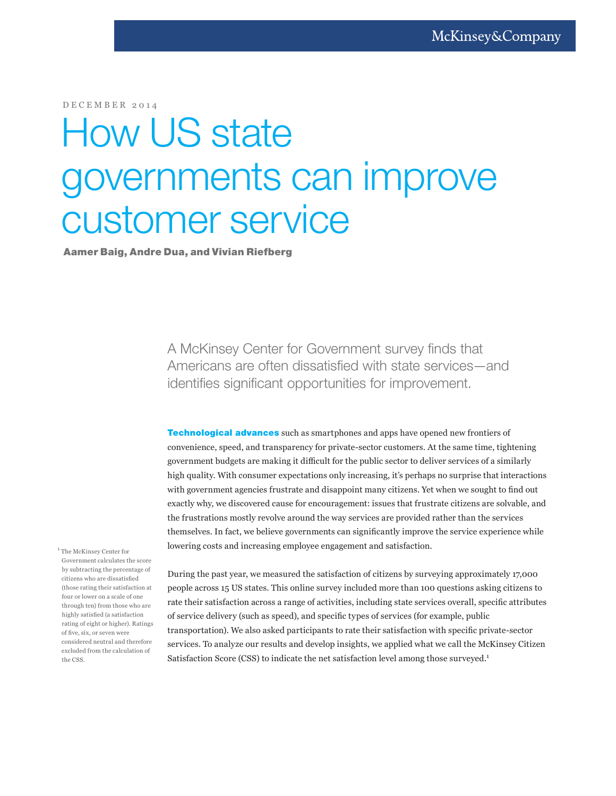DECEMBER 2014

## How US state governments can improve customer service

Aamer Baig, Andre Dua, and Vivian Riefberg

A McKinsey Center for Government survey finds that Americans are often dissatisfied with state services—and identifies significant opportunities for improvement.

**Technological advances** such as smartphones and apps have opened new frontiers of convenience, speed, and transparency for private-sector customers. At the same time, tightening government budgets are making it difficult for the public sector to deliver services of a similarly high quality. With consumer expectations only increasing, it's perhaps no surprise that interactions with government agencies frustrate and disappoint many citizens. Yet when we sought to find out exactly why, we discovered cause for encouragement: issues that frustrate citizens are solvable, and the frustrations mostly revolve around the way services are provided rather than the services themselves. In fact, we believe governments can significantly improve the service experience while lowering costs and increasing employee engagement and satisfaction.

<sup>1</sup> The McKinsey Center for Government calculates the score by subtracting the percentage of citizens who are dissatisfied (those rating their satisfaction at four or lower on a scale of one through ten) from those who are highly satisfied (a satisfaction rating of eight or higher). Ratings of five, six, or seven were considered neutral and therefore excluded from the calculation of the CSS.

During the past year, we measured the satisfaction of citizens by surveying approximately 17,000 people across 15 US states. This online survey included more than 100 questions asking citizens to rate their satisfaction across a range of activities, including state services overall, specific attributes of service delivery (such as speed), and specific types of services (for example, public transportation). We also asked participants to rate their satisfaction with specific private-sector services. To analyze our results and develop insights, we applied what we call the McKinsey Citizen Satisfaction Score (CSS) to indicate the net satisfaction level among those surveyed.<sup>1</sup>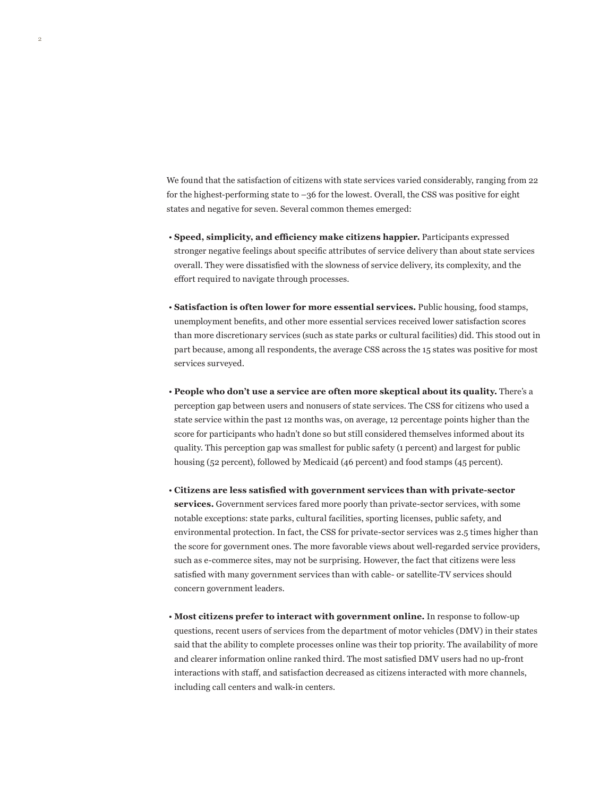We found that the satisfaction of citizens with state services varied considerably, ranging from 22 for the highest-performing state to –36 for the lowest. Overall, the CSS was positive for eight states and negative for seven. Several common themes emerged:

2

- **Speed, simplicity, and efficiency make citizens happier.** Participants expressed stronger negative feelings about specific attributes of service delivery than about state services overall. They were dissatisfied with the slowness of service delivery, its complexity, and the effort required to navigate through processes.
- **Satisfaction is often lower for more essential services.** Public housing, food stamps, unemployment benefits, and other more essential services received lower satisfaction scores than more discretionary services (such as state parks or cultural facilities) did. This stood out in part because, among all respondents, the average CSS across the 15 states was positive for most services surveyed.
- **People who don't use a service are often more skeptical about its quality.** There's a perception gap between users and nonusers of state services. The CSS for citizens who used a state service within the past 12 months was, on average, 12 percentage points higher than the score for participants who hadn't done so but still considered themselves informed about its quality. This perception gap was smallest for public safety (1 percent) and largest for public housing (52 percent), followed by Medicaid (46 percent) and food stamps (45 percent).
- **Citizens are less satisfied with government services than with private-sector services.** Government services fared more poorly than private-sector services, with some notable exceptions: state parks, cultural facilities, sporting licenses, public safety, and environmental protection. In fact, the CSS for private-sector services was 2.5 times higher than the score for government ones. The more favorable views about well-regarded service providers, such as e-commerce sites, may not be surprising. However, the fact that citizens were less satisfied with many government services than with cable- or satellite-TV services should concern government leaders.
- **Most citizens prefer to interact with government online.** In response to follow-up questions, recent users of services from the department of motor vehicles (DMV) in their states said that the ability to complete processes online was their top priority. The availability of more and clearer information online ranked third. The most satisfied DMV users had no up-front interactions with staff, and satisfaction decreased as citizens interacted with more channels, including call centers and walk-in centers.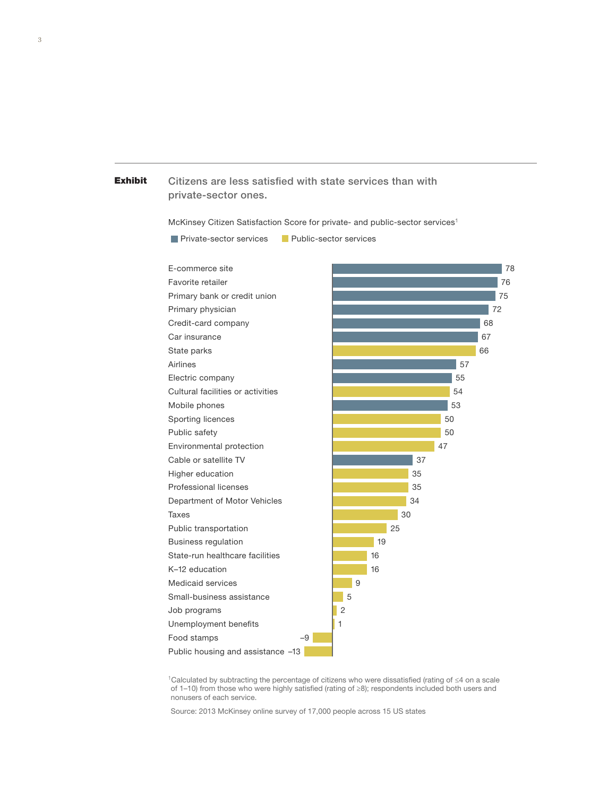## **Exhibit** Citizens are less satisfied with state services than with private-sector ones.

McKinsey Citizen Satisfaction Score for private- and public-sector services1

**Private-sector services** Public-sector services

Exhibit 1 of 1

| E-commerce site                   | 78             |
|-----------------------------------|----------------|
| Favorite retailer                 | 76             |
| Primary bank or credit union      | 75             |
| Primary physician                 | 72             |
| Credit-card company               | 68             |
| Car insurance                     | 67             |
| State parks                       | 66             |
| Airlines                          | 57             |
| Electric company                  | 55             |
| Cultural facilities or activities | 54             |
| Mobile phones                     | 53             |
| Sporting licences                 | 50             |
| Public safety                     | 50             |
| Environmental protection          | 47             |
| Cable or satellite TV             | 37             |
| Higher education                  | 35             |
| Professional licenses             | 35             |
| Department of Motor Vehicles      | 34             |
| Taxes                             | 30             |
| Public transportation             | 25             |
| <b>Business regulation</b>        | 19             |
| State-run healthcare facilities   | 16             |
| K-12 education                    | 16             |
| Medicaid services                 | 9              |
| Small-business assistance         | 5              |
| Job programs                      | $\overline{c}$ |
| Unemployment benefits             | 1              |
| $-9$<br>Food stamps               |                |
| Public housing and assistance -13 |                |

1Calculated by subtracting the percentage of citizens who were dissatisfied (rating of ≤4 on a scale of 1–10) from those who were highly satisfied (rating of ≥8); respondents included both users and nonusers of each service.

Source: 2013 McKinsey online survey of 17,000 people across 15 US states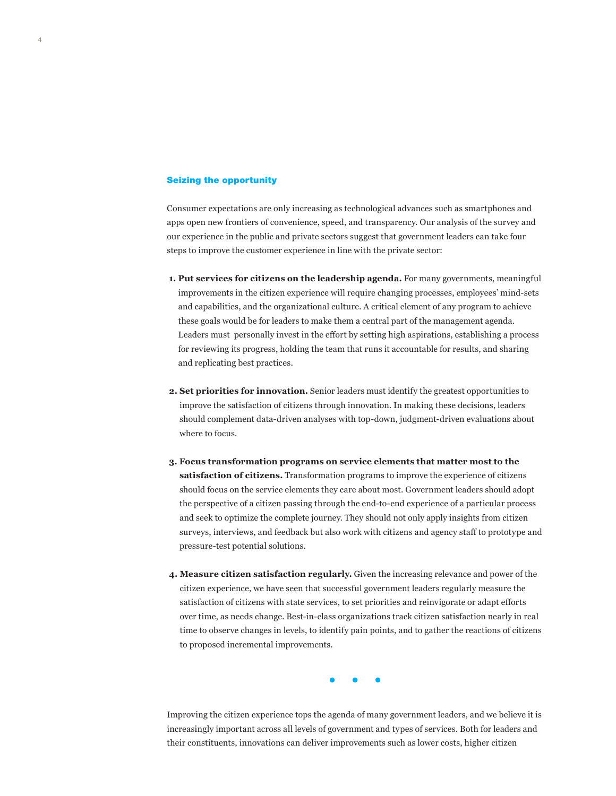## Seizing the opportunity

Consumer expectations are only increasing as technological advances such as smartphones and apps open new frontiers of convenience, speed, and transparency. Our analysis of the survey and our experience in the public and private sectors suggest that government leaders can take four steps to improve the customer experience in line with the private sector:

- **1. Put services for citizens on the leadership agenda.** For many governments, meaningful improvements in the citizen experience will require changing processes, employees' mind-sets and capabilities, and the organizational culture. A critical element of any program to achieve these goals would be for leaders to make them a central part of the management agenda. Leaders must personally invest in the effort by setting high aspirations, establishing a process for reviewing its progress, holding the team that runs it accountable for results, and sharing and replicating best practices.
- **2. Set priorities for innovation.** Senior leaders must identify the greatest opportunities to improve the satisfaction of citizens through innovation. In making these decisions, leaders should complement data-driven analyses with top-down, judgment-driven evaluations about where to focus.
- **3. Focus transformation programs on service elements that matter most to the satisfaction of citizens.** Transformation programs to improve the experience of citizens should focus on the service elements they care about most. Government leaders should adopt the perspective of a citizen passing through the end-to-end experience of a particular process and seek to optimize the complete journey. They should not only apply insights from citizen surveys, interviews, and feedback but also work with citizens and agency staff to prototype and pressure-test potential solutions.
- **4. Measure citizen satisfaction regularly.** Given the increasing relevance and power of the citizen experience, we have seen that successful government leaders regularly measure the satisfaction of citizens with state services, to set priorities and reinvigorate or adapt efforts over time, as needs change. Best-in-class organizations track citizen satisfaction nearly in real time to observe changes in levels, to identify pain points, and to gather the reactions of citizens to proposed incremental improvements.

Improving the citizen experience tops the agenda of many government leaders, and we believe it is increasingly important across all levels of government and types of services. Both for leaders and their constituents, innovations can deliver improvements such as lower costs, higher citizen